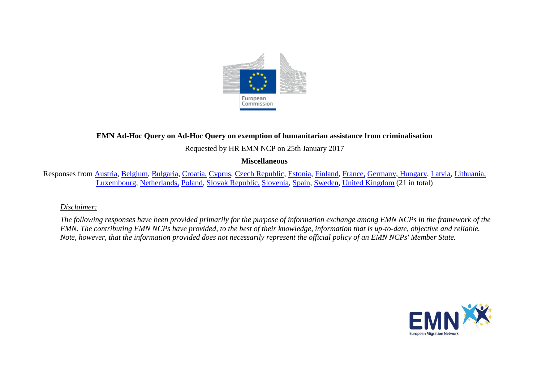

# **EMN Ad-Hoc Query on Ad-Hoc Query on exemption of humanitarian assistance from criminalisation**

Requested by HR EMN NCP on 25th January 2017

#### **Miscellaneous**

Responses from [Austria,](#page-2-0) [Belgium,](#page-2-1) [Bulgaria,](#page-2-2) [Croatia,](#page-3-0) [Cyprus,](#page-3-1) [Czech Republic,](#page-4-0) [Estonia,](#page-4-1) [Finland,](#page-4-2) [France,](#page-4-3) [Germany,](#page-5-0) [Hungary,](#page-5-1) [Latvia,](#page-5-2) [Lithuania,](#page-6-0) [Luxembourg,](#page-6-1) [Netherlands,](#page-6-2) [Poland,](#page-7-0) [Slovak Republic,](#page-7-1) [Slovenia,](#page-7-2) [Spain,](#page-7-3) [Sweden,](#page-7-4) [United Kingdom](#page-7-5) (21 in total)

### *Disclaimer:*

*The following responses have been provided primarily for the purpose of information exchange among EMN NCPs in the framework of the EMN. The contributing EMN NCPs have provided, to the best of their knowledge, information that is up-to-date, objective and reliable. Note, however, that the information provided does not necessarily represent the official policy of an EMN NCPs' Member State.*

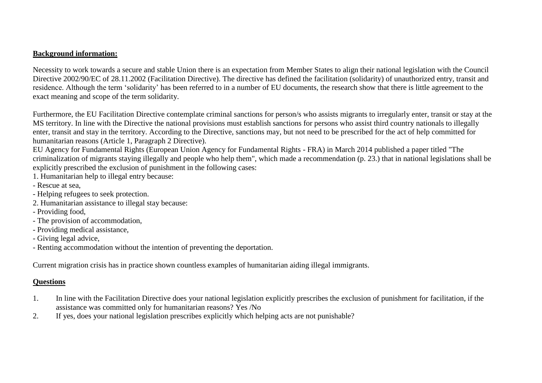### **Background information:**

Necessity to work towards a secure and stable Union there is an expectation from Member States to align their national legislation with the Council Directive 2002/90/EC of 28.11.2002 (Facilitation Directive). The directive has defined the facilitation (solidarity) of unauthorized entry, transit and residence. Although the term 'solidarity' has been referred to in a number of EU documents, the research show that there is little agreement to the exact meaning and scope of the term solidarity.

Furthermore, the EU Facilitation Directive contemplate criminal sanctions for person/s who assists migrants to irregularly enter, transit or stay at the MS territory. In line with the Directive the national provisions must establish sanctions for persons who assist third country nationals to illegally enter, transit and stay in the territory. According to the Directive, sanctions may, but not need to be prescribed for the act of help committed for humanitarian reasons (Article 1, Paragraph 2 Directive).

EU Agency for Fundamental Rights (European Union Agency for Fundamental Rights - FRA) in March 2014 published a paper titled "The criminalization of migrants staying illegally and people who help them", which made a recommendation (p. 23.) that in national legislations shall be explicitly prescribed the exclusion of punishment in the following cases:

- 1. Humanitarian help to illegal entry because:
- Rescue at sea,
- Helping refugees to seek protection.
- 2. Humanitarian assistance to illegal stay because:
- Providing food,
- The provision of accommodation,
- Providing medical assistance,
- Giving legal advice,
- Renting accommodation without the intention of preventing the deportation.

Current migration crisis has in practice shown countless examples of humanitarian aiding illegal immigrants.

# **Questions**

- 1. In line with the Facilitation Directive does your national legislation explicitly prescribes the exclusion of punishment for facilitation, if the assistance was committed only for humanitarian reasons? Yes /No
- 2. If yes, does your national legislation prescribes explicitly which helping acts are not punishable?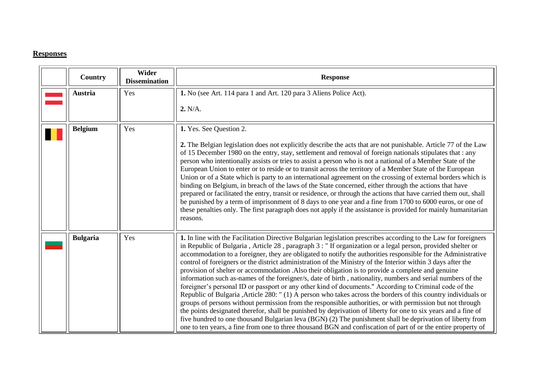### **Responses**

<span id="page-2-2"></span><span id="page-2-1"></span><span id="page-2-0"></span>

| Country         | Wider<br><b>Dissemination</b> | <b>Response</b>                                                                                                                                                                                                                                                                                                                                                                                                                                                                                                                                                                                                                                                                                                                                                                                                                                                                                                                                                                                                                                                                                                                                                                                                                                                                                                                                                           |
|-----------------|-------------------------------|---------------------------------------------------------------------------------------------------------------------------------------------------------------------------------------------------------------------------------------------------------------------------------------------------------------------------------------------------------------------------------------------------------------------------------------------------------------------------------------------------------------------------------------------------------------------------------------------------------------------------------------------------------------------------------------------------------------------------------------------------------------------------------------------------------------------------------------------------------------------------------------------------------------------------------------------------------------------------------------------------------------------------------------------------------------------------------------------------------------------------------------------------------------------------------------------------------------------------------------------------------------------------------------------------------------------------------------------------------------------------|
| Austria         | Yes                           | 1. No (see Art. 114 para 1 and Art. 120 para 3 Aliens Police Act).<br>2. N/A.                                                                                                                                                                                                                                                                                                                                                                                                                                                                                                                                                                                                                                                                                                                                                                                                                                                                                                                                                                                                                                                                                                                                                                                                                                                                                             |
| <b>Belgium</b>  | Yes                           | 1. Yes. See Question 2.<br>2. The Belgian legislation does not explicitly describe the acts that are not punishable. Article 77 of the Law<br>of 15 December 1980 on the entry, stay, settlement and removal of foreign nationals stipulates that : any<br>person who intentionally assists or tries to assist a person who is not a national of a Member State of the<br>European Union to enter or to reside or to transit across the territory of a Member State of the European<br>Union or of a State which is party to an international agreement on the crossing of external borders which is<br>binding on Belgium, in breach of the laws of the State concerned, either through the actions that have<br>prepared or facilitated the entry, transit or residence, or through the actions that have carried them out, shall<br>be punished by a term of imprisonment of 8 days to one year and a fine from 1700 to 6000 euros, or one of<br>these penalties only. The first paragraph does not apply if the assistance is provided for mainly humanitarian<br>reasons.                                                                                                                                                                                                                                                                                            |
| <b>Bulgaria</b> | Yes                           | 1. In line with the Facilitation Directive Bulgarian legislation prescribes according to the Law for foreigners<br>in Republic of Bulgaria, Article 28, paragraph 3: "If organization or a legal person, provided shelter or<br>accommodation to a foreigner, they are obligated to notify the authorities responsible for the Administrative<br>control of foreigners or the district administration of the Ministry of the Interior within 3 days after the<br>provision of shelter or accommodation .Also their obligation is to provide a complete and genuine<br>information such as-names of the foreigner/s, date of birth, nationality, numbers and serial numbers of the<br>foreigner's personal ID or passport or any other kind of documents." According to Criminal code of the<br>Republic of Bulgaria , Article 280: "(1) A person who takes across the borders of this country individuals or<br>groups of persons without permission from the responsible authorities, or with permission but not through<br>the points designated therefor, shall be punished by deprivation of liberty for one to six years and a fine of<br>five hundred to one thousand Bulgarian leva (BGN) (2) The punishment shall be deprivation of liberty from<br>one to ten years, a fine from one to three thousand BGN and confiscation of part of or the entire property of |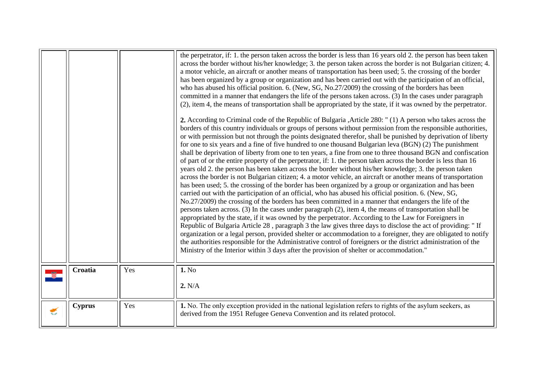<span id="page-3-1"></span><span id="page-3-0"></span>

|   |               |     | the perpetrator, if: 1. the person taken across the border is less than 16 years old 2. the person has been taken<br>across the border without his/her knowledge; 3. the person taken across the border is not Bulgarian citizen; 4.<br>a motor vehicle, an aircraft or another means of transportation has been used; 5. the crossing of the border<br>has been organized by a group or organization and has been carried out with the participation of an official,<br>who has abused his official position. 6. (New, SG, No.27/2009) the crossing of the borders has been<br>committed in a manner that endangers the life of the persons taken across. (3) In the cases under paragraph<br>(2), item 4, the means of transportation shall be appropriated by the state, if it was owned by the perpetrator.<br>2. According to Criminal code of the Republic of Bulgaria , Article 280: "(1) A person who takes across the<br>borders of this country individuals or groups of persons without permission from the responsible authorities,<br>or with permission but not through the points designated therefor, shall be punished by deprivation of liberty<br>for one to six years and a fine of five hundred to one thousand Bulgarian leva (BGN) (2) The punishment<br>shall be deprivation of liberty from one to ten years, a fine from one to three thousand BGN and confiscation<br>of part of or the entire property of the perpetrator, if: 1. the person taken across the border is less than 16<br>years old 2. the person has been taken across the border without his/her knowledge; 3. the person taken<br>across the border is not Bulgarian citizen; 4. a motor vehicle, an aircraft or another means of transportation<br>has been used; 5. the crossing of the border has been organized by a group or organization and has been<br>carried out with the participation of an official, who has abused his official position. 6. (New, SG,<br>No.27/2009) the crossing of the borders has been committed in a manner that endangers the life of the<br>persons taken across. (3) In the cases under paragraph (2), item 4, the means of transportation shall be<br>appropriated by the state, if it was owned by the perpetrator. According to the Law for Foreigners in<br>Republic of Bulgaria Article 28, paragraph 3 the law gives three days to disclose the act of providing: " If<br>organization or a legal person, provided shelter or accommodation to a foreigner, they are obligated to notify<br>the authorities responsible for the Administrative control of foreigners or the district administration of the<br>Ministry of the Interior within 3 days after the provision of shelter or accommodation." |
|---|---------------|-----|-------------------------------------------------------------------------------------------------------------------------------------------------------------------------------------------------------------------------------------------------------------------------------------------------------------------------------------------------------------------------------------------------------------------------------------------------------------------------------------------------------------------------------------------------------------------------------------------------------------------------------------------------------------------------------------------------------------------------------------------------------------------------------------------------------------------------------------------------------------------------------------------------------------------------------------------------------------------------------------------------------------------------------------------------------------------------------------------------------------------------------------------------------------------------------------------------------------------------------------------------------------------------------------------------------------------------------------------------------------------------------------------------------------------------------------------------------------------------------------------------------------------------------------------------------------------------------------------------------------------------------------------------------------------------------------------------------------------------------------------------------------------------------------------------------------------------------------------------------------------------------------------------------------------------------------------------------------------------------------------------------------------------------------------------------------------------------------------------------------------------------------------------------------------------------------------------------------------------------------------------------------------------------------------------------------------------------------------------------------------------------------------------------------------------------------------------------------------------------------------------------------------------------------------------------------------------------------------------------------------------------------------------------------------------------------------------------------------------------------------------|
|   | Croatia       | Yes | 1. No<br>2. N/A                                                                                                                                                                                                                                                                                                                                                                                                                                                                                                                                                                                                                                                                                                                                                                                                                                                                                                                                                                                                                                                                                                                                                                                                                                                                                                                                                                                                                                                                                                                                                                                                                                                                                                                                                                                                                                                                                                                                                                                                                                                                                                                                                                                                                                                                                                                                                                                                                                                                                                                                                                                                                                                                                                                                 |
| € | <b>Cyprus</b> | Yes | 1. No. The only exception provided in the national legislation refers to rights of the asylum seekers, as<br>derived from the 1951 Refugee Geneva Convention and its related protocol.                                                                                                                                                                                                                                                                                                                                                                                                                                                                                                                                                                                                                                                                                                                                                                                                                                                                                                                                                                                                                                                                                                                                                                                                                                                                                                                                                                                                                                                                                                                                                                                                                                                                                                                                                                                                                                                                                                                                                                                                                                                                                                                                                                                                                                                                                                                                                                                                                                                                                                                                                          |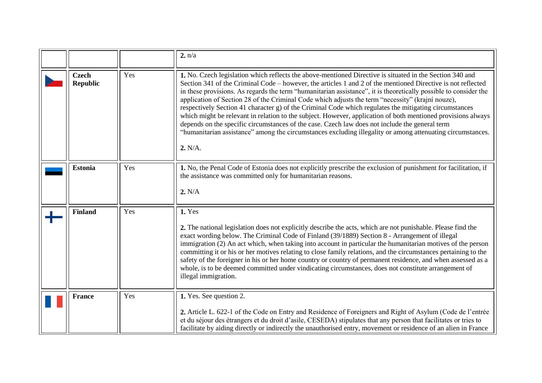<span id="page-4-3"></span><span id="page-4-2"></span><span id="page-4-1"></span><span id="page-4-0"></span>

|                                 |     | 2. n/a                                                                                                                                                                                                                                                                                                                                                                                                                                                                                                                                                                                                                                                                                                                                                                                                                                                                                                 |
|---------------------------------|-----|--------------------------------------------------------------------------------------------------------------------------------------------------------------------------------------------------------------------------------------------------------------------------------------------------------------------------------------------------------------------------------------------------------------------------------------------------------------------------------------------------------------------------------------------------------------------------------------------------------------------------------------------------------------------------------------------------------------------------------------------------------------------------------------------------------------------------------------------------------------------------------------------------------|
| <b>Czech</b><br><b>Republic</b> | Yes | 1. No. Czech legislation which reflects the above-mentioned Directive is situated in the Section 340 and<br>Section 341 of the Criminal Code – however, the articles 1 and 2 of the mentioned Directive is not reflected<br>in these provisions. As regards the term "humanitarian assistance", it is theoretically possible to consider the<br>application of Section 28 of the Criminal Code which adjusts the term "necessity" (krajní nouze),<br>respectively Section 41 character g) of the Criminal Code which regulates the mitigating circumstances<br>which might be relevant in relation to the subject. However, application of both mentioned provisions always<br>depends on the specific circumstances of the case. Czech law does not include the general term<br>"humanitarian assistance" among the circumstances excluding illegality or among attenuating circumstances.<br>2. N/A. |
| <b>Estonia</b>                  | Yes | 1. No, the Penal Code of Estonia does not explicitly prescribe the exclusion of punishment for facilitation, if<br>the assistance was committed only for humanitarian reasons.<br>2. N/A                                                                                                                                                                                                                                                                                                                                                                                                                                                                                                                                                                                                                                                                                                               |
| <b>Finland</b>                  | Yes | 1. Yes<br>2. The national legislation does not explicitly describe the acts, which are not punishable. Please find the<br>exact wording below. The Criminal Code of Finland (39/1889) Section 8 - Arrangement of illegal<br>immigration (2) An act which, when taking into account in particular the humanitarian motives of the person<br>committing it or his or her motives relating to close family relations, and the circumstances pertaining to the<br>safety of the foreigner in his or her home country or country of permanent residence, and when assessed as a<br>whole, is to be deemed committed under vindicating circumstances, does not constitute arrangement of<br>illegal immigration.                                                                                                                                                                                             |
| <b>France</b>                   | Yes | 1. Yes. See question 2.<br>2. Article L. 622-1 of the Code on Entry and Residence of Foreigners and Right of Asylum (Code de l'entrée<br>et du séjour des étrangers et du droit d'asile, CESEDA) stipulates that any person that facilitates or tries to<br>facilitate by aiding directly or indirectly the unauthorised entry, movement or residence of an alien in France                                                                                                                                                                                                                                                                                                                                                                                                                                                                                                                            |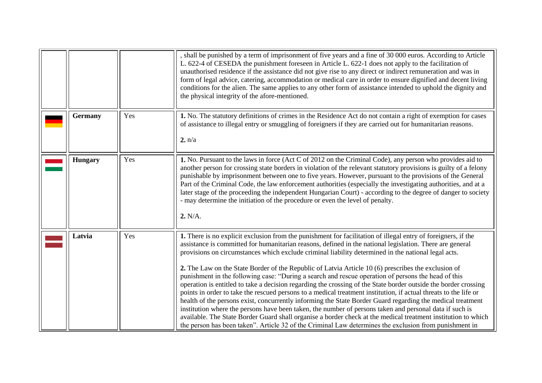<span id="page-5-2"></span><span id="page-5-1"></span><span id="page-5-0"></span>

|                |     | shall be punished by a term of imprisonment of five years and a fine of 30 000 euros. According to Article<br>L. 622-4 of CESEDA the punishment foreseen in Article L. 622-1 does not apply to the facilitation of<br>unauthorised residence if the assistance did not give rise to any direct or indirect remuneration and was in<br>form of legal advice, catering, accommodation or medical care in order to ensure dignified and decent living<br>conditions for the alien. The same applies to any other form of assistance intended to uphold the dignity and<br>the physical integrity of the afore-mentioned.                                                                                                                                                                                                                                                                                                                                                                                                                                                                                                                                                                                                                     |
|----------------|-----|-------------------------------------------------------------------------------------------------------------------------------------------------------------------------------------------------------------------------------------------------------------------------------------------------------------------------------------------------------------------------------------------------------------------------------------------------------------------------------------------------------------------------------------------------------------------------------------------------------------------------------------------------------------------------------------------------------------------------------------------------------------------------------------------------------------------------------------------------------------------------------------------------------------------------------------------------------------------------------------------------------------------------------------------------------------------------------------------------------------------------------------------------------------------------------------------------------------------------------------------|
| <b>Germany</b> | Yes | 1. No. The statutory definitions of crimes in the Residence Act do not contain a right of exemption for cases<br>of assistance to illegal entry or smuggling of foreigners if they are carried out for humanitarian reasons.<br>2. n/a                                                                                                                                                                                                                                                                                                                                                                                                                                                                                                                                                                                                                                                                                                                                                                                                                                                                                                                                                                                                    |
| <b>Hungary</b> | Yes | 1. No. Pursuant to the laws in force (Act C of 2012 on the Criminal Code), any person who provides aid to<br>another person for crossing state borders in violation of the relevant statutory provisions is guilty of a felony<br>punishable by imprisonment between one to five years. However, pursuant to the provisions of the General<br>Part of the Criminal Code, the law enforcement authorities (especially the investigating authorities, and at a<br>later stage of the proceeding the independent Hungarian Court) - according to the degree of danger to society<br>- may determine the initiation of the procedure or even the level of penalty.<br>2. N/A.                                                                                                                                                                                                                                                                                                                                                                                                                                                                                                                                                                 |
| Latvia         | Yes | 1. There is no explicit exclusion from the punishment for facilitation of illegal entry of foreigners, if the<br>assistance is committed for humanitarian reasons, defined in the national legislation. There are general<br>provisions on circumstances which exclude criminal liability determined in the national legal acts.<br>2. The Law on the State Border of the Republic of Latvia Article 10 (6) prescribes the exclusion of<br>punishment in the following case: "During a search and rescue operation of persons the head of this<br>operation is entitled to take a decision regarding the crossing of the State border outside the border crossing<br>points in order to take the rescued persons to a medical treatment institution, if actual threats to the life or<br>health of the persons exist, concurrently informing the State Border Guard regarding the medical treatment<br>institution where the persons have been taken, the number of persons taken and personal data if such is<br>available. The State Border Guard shall organise a border check at the medical treatment institution to which<br>the person has been taken". Article 32 of the Criminal Law determines the exclusion from punishment in |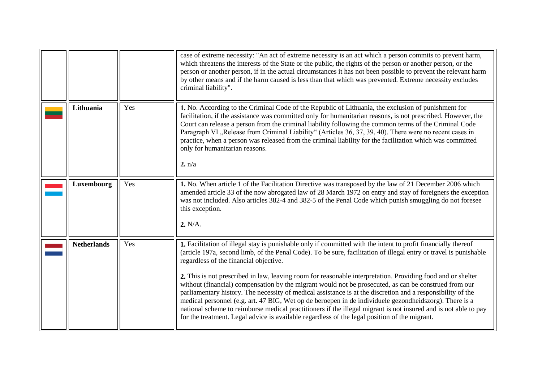<span id="page-6-2"></span><span id="page-6-1"></span><span id="page-6-0"></span>

|                    |     | case of extreme necessity: "An act of extreme necessity is an act which a person commits to prevent harm,<br>which threatens the interests of the State or the public, the rights of the person or another person, or the<br>person or another person, if in the actual circumstances it has not been possible to prevent the relevant harm<br>by other means and if the harm caused is less than that which was prevented. Extreme necessity excludes<br>criminal liability".                                                                                                                                                                                                                                                                                                                                                                                                                                                                    |
|--------------------|-----|---------------------------------------------------------------------------------------------------------------------------------------------------------------------------------------------------------------------------------------------------------------------------------------------------------------------------------------------------------------------------------------------------------------------------------------------------------------------------------------------------------------------------------------------------------------------------------------------------------------------------------------------------------------------------------------------------------------------------------------------------------------------------------------------------------------------------------------------------------------------------------------------------------------------------------------------------|
| Lithuania          | Yes | 1. No. According to the Criminal Code of the Republic of Lithuania, the exclusion of punishment for<br>facilitation, if the assistance was committed only for humanitarian reasons, is not prescribed. However, the<br>Court can release a person from the criminal liability following the common terms of the Criminal Code<br>Paragraph VI "Release from Criminal Liability" (Articles 36, 37, 39, 40). There were no recent cases in<br>practice, when a person was released from the criminal liability for the facilitation which was committed<br>only for humanitarian reasons.<br>2. n/a                                                                                                                                                                                                                                                                                                                                                 |
| Luxembourg         | Yes | 1. No. When article 1 of the Facilitation Directive was transposed by the law of 21 December 2006 which<br>amended article 33 of the now abrogated law of 28 March 1972 on entry and stay of foreigners the exception<br>was not included. Also articles 382-4 and 382-5 of the Penal Code which punish smuggling do not foresee<br>this exception.<br>2. N/A.                                                                                                                                                                                                                                                                                                                                                                                                                                                                                                                                                                                    |
| <b>Netherlands</b> | Yes | 1. Facilitation of illegal stay is punishable only if committed with the intent to profit financially thereof<br>(article 197a, second limb, of the Penal Code). To be sure, facilitation of illegal entry or travel is punishable<br>regardless of the financial objective.<br>2. This is not prescribed in law, leaving room for reasonable interpretation. Providing food and or shelter<br>without (financial) compensation by the migrant would not be prosecuted, as can be construed from our<br>parliamentary history. The necessity of medical assistance is at the discretion and a responsibility of the<br>medical personnel (e.g. art. 47 BIG, Wet op de beroepen in de individuele gezondheidszorg). There is a<br>national scheme to reimburse medical practitioners if the illegal migrant is not insured and is not able to pay<br>for the treatment. Legal advice is available regardless of the legal position of the migrant. |